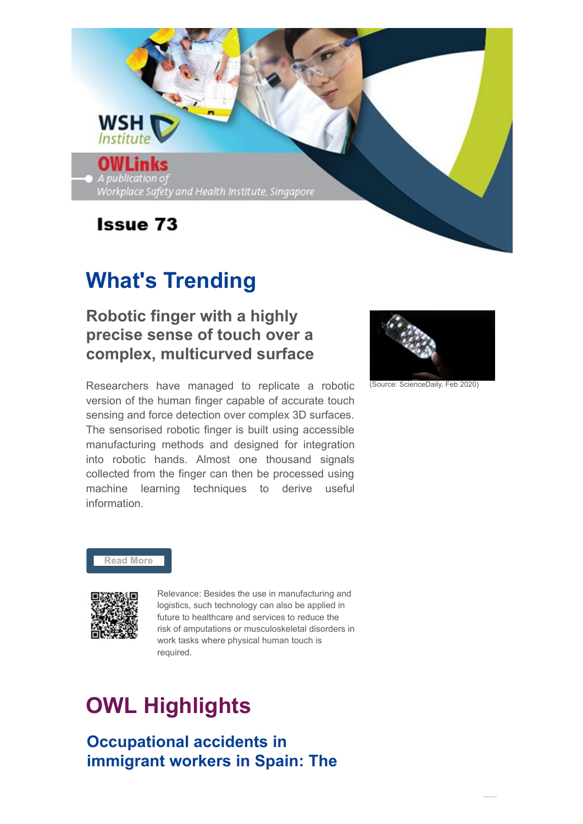

# **What's Trending**

## **Robotic finger with a highly precise sense of touch over a complex, multicurved surface**

Researchers have managed to replicate a robotic version of the human finger capable of accurate touch sensing and force detection over complex 3D surfaces. The sensorised robotic finger is built using accessible manufacturing methods and designed for integration into robotic hands. Almost one thousand signals collected from the finger can then be processed using machine learning techniques to derive useful information.



(Source: ScienceDaily, Feb 2020)

### **[Read More](http://www.sciencedaily.com/releases/2020/02/200226072105.htm)**



Relevance: Besides the use in manufacturing and logistics, such technology can also be applied in future to healthcare and services to reduce the risk of amputations or musculoskeletal disorders in work tasks where physical human touch is required.

# **OWL Highlights**

**Occupational accidents in immigrant workers in Spain: The**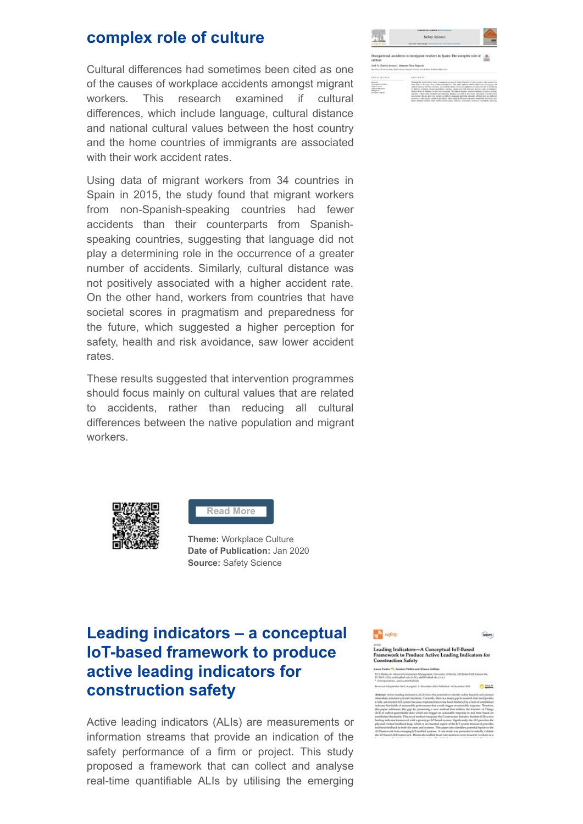### **complex role of culture**

Cultural differences had sometimes been cited as one of the causes of workplace accidents amongst migrant workers. This research examined if cultural differences, which include language, cultural distance and national cultural values between the host country and the home countries of immigrants are associated with their work accident rates.

Using data of migrant workers from 34 countries in Spain in 2015, the study found that migrant workers from non-Spanish-speaking countries had fewer accidents than their counterparts from Spanishspeaking countries, suggesting that language did not play a determining role in the occurrence of a greater number of accidents. Similarly, cultural distance was not positively associated with a higher accident rate. On the other hand, workers from countries that have societal scores in pragmatism and preparedness for the future, which suggested a higher perception for safety, health and risk avoidance, saw lower accident rates.

These results suggested that intervention programmes should focus mainly on cultural values that are related to accidents, rather than reducing all cultural differences between the native population and migrant workers.



**[Read More](https://www.sciencedirect.com/science/article/pii/S0925753518311998)**

**Theme:** Workplace Culture **Date of Publication:** Jan 2020 **Source:** Safety Science

# **Leading indicators – a conceptual IoT-based framework to produce active leading indicators for construction safety**

Active leading indicators (ALIs) are measurements or information streams that provide an indication of the safety performance of a firm or project. This study proposed a framework that can collect and analyse real-time quantifiable ALIs by utilising the emerging



on Codes 10, Andrew States on

asse<br>Leading Indicators—A Conceptual IoT-Based<br>Framework to Produce Active Leading Indicators for<br>Construction Safety

**WOPI** 

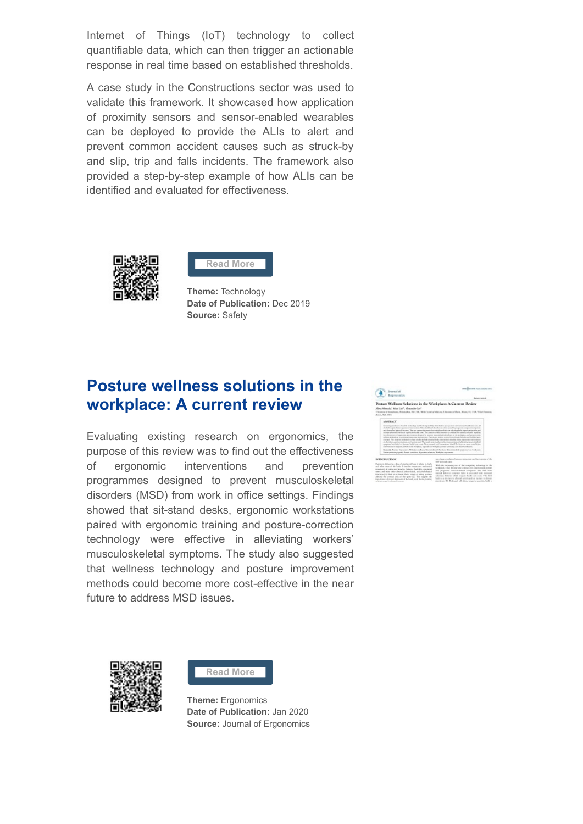Internet of Things (IoT) technology to collect quantifiable data, which can then trigger an actionable response in real time based on established thresholds.

A case study in the Constructions sector was used to validate this framework. It showcased how application of proximity sensors and sensor-enabled wearables can be deployed to provide the ALIs to alert and prevent common accident causes such as struck-by and slip, trip and falls incidents. The framework also provided a step-by-step example of how ALIs can be identified and evaluated for effectiveness.





**Theme:** Technology **Date of Publication:** Dec 2019 **Source:** Safety

## **Posture wellness solutions in the workplace: A current review**

Evaluating existing research on ergonomics, the purpose of this review was to find out the effectiveness of ergonomic interventions and prevention programmes designed to prevent musculoskeletal disorders (MSD) from work in office settings. Findings showed that sit-stand desks, ergonomic workstations paired with ergonomic training and posture-correction technology were effective in alleviating workers' musculoskeletal symptoms. The study also suggested that wellness technology and posture improvement methods could become more cost-effective in the near future to address MSD issues.





**[Read More](https://www.longdom.org/open-access/posture-wellness-solutions-in-the-workplace-a-current-review.pdf)**

**Theme:** Ergonomics **Date of Publication:** Jan 2020 **Source:** Journal of Ergonomics